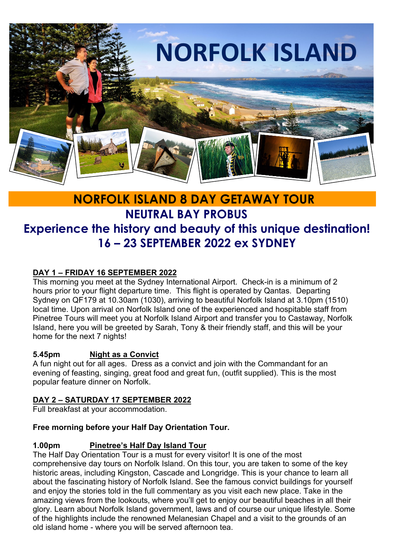

# **NORFOLK ISLAND 8 DAY GETAWAY TOUR NEUTRAL BAY PROBUS Experience the history and beauty of this unique destination! 16 – 23 SEPTEMBER 2022 ex SYDNEY**

### **DAY 1 – FRIDAY 16 SEPTEMBER 2022**

This morning you meet at the Sydney International Airport. Check-in is a minimum of 2 hours prior to your flight departure time. This flight is operated by Qantas. Departing Sydney on QF179 at 10.30am (1030), arriving to beautiful Norfolk Island at 3.10pm (1510) local time. Upon arrival on Norfolk Island one of the experienced and hospitable staff from Pinetree Tours will meet you at Norfolk Island Airport and transfer you to Castaway, Norfolk Island, here you will be greeted by Sarah, Tony & their friendly staff, and this will be your home for the next 7 nights!

#### **5.45pm Night as a Convict**

A fun night out for all ages. Dress as a convict and join with the Commandant for an evening of feasting, singing, great food and great fun, (outfit supplied). This is the most popular feature dinner on Norfolk.

#### **DAY 2 – SATURDAY 17 SEPTEMBER 2022**

Full breakfast at your accommodation.

#### **Free morning before your Half Day Orientation Tour.**

#### **1.00pm Pinetree's Half Day Island Tour**

The Half Day Orientation Tour is a must for every visitor! It is one of the most comprehensive day tours on Norfolk Island. On this tour, you are taken to some of the key historic areas, including Kingston, Cascade and Longridge. This is your chance to learn all about the fascinating history of Norfolk Island. See the famous convict buildings for yourself and enjoy the stories told in the full commentary as you visit each new place. Take in the amazing views from the lookouts, where you'll get to enjoy our beautiful beaches in all their glory. Learn about Norfolk Island government, laws and of course our unique lifestyle. Some of the highlights include the renowned Melanesian Chapel and a visit to the grounds of an old island home - where you will be served afternoon tea.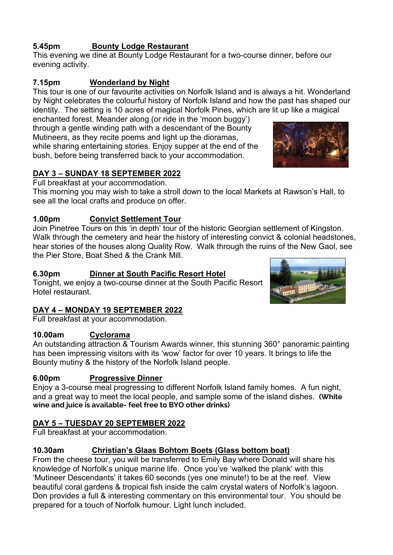### **5.45pm Bounty Lodge Restaurant**

This evening we dine at Bounty Lodge Restaurant for a two-course dinner, before our evening activity.

#### **7.15pm Wonderland by Night**

This tour is one of our favourite activities on Norfolk Island and is always a hit. Wonderland by Night celebrates the colourful history of Norfolk Island and how the past has shaped our identity. The setting is 10 acres of magical Norfolk Pines, which are lit up like a magical

enchanted forest. Meander along (or ride in the 'moon buggy') through a gentle winding path with a descendant of the Bounty Mutineers, as they recite poems and light up the dioramas, while sharing entertaining stories. Enjoy supper at the end of the bush, before being transferred back to your accommodation.

#### **DAY 3 – SUNDAY 18 SEPTEMBER 2022**

Full breakfast at your accommodation.

This morning you may wish to take a stroll down to the local Markets at Rawson's Hall, to see all the local crafts and produce on offer.

#### **1.00pm Convict Settlement Tour**

Join Pinetree Tours on this 'in depth' tour of the historic Georgian settlement of Kingston. Walk through the cemetery and hear the history of interesting convict & colonial headstones, hear stories of the houses along Quality Row. Walk through the ruins of the New Gaol, see the Pier Store, Boat Shed & the Crank Mill.

#### **6.30pm Dinner at South Pacific Resort Hotel**

Tonight, we enjoy a two-course dinner at the South Pacific Resort Hotel restaurant.

#### **DAY 4 – MONDAY 19 SEPTEMBER 2022**

Full breakfast at your accommodation.

#### **10.00am Cyclorama**

An outstanding attraction & Tourism Awards winner, this stunning 360° panoramic painting has been impressing visitors with its 'wow' factor for over 10 years. It brings to life the Bounty mutiny & the history of the Norfolk Island people.

#### **6.00pm Progressive Dinner**

Enjoy a 3-course meal progressing to different Norfolk Island family homes. A fun night, and a great way to meet the local people, and sample some of the island dishes. **(White wine and juice is available- feel free to BYO other drinks)**

#### **DAY 5 – TUESDAY 20 SEPTEMBER 2022**

Full breakfast at your accommodation.

#### **10.30am Christian's Glaas Bohtom Boets (Glass bottom boat)**

From the cheese tour, you will be transferred to Emily Bay where Donald will share his knowledge of Norfolk's unique marine life. Once you've 'walked the plank' with this 'Mutineer Descendants' it takes 60 seconds (yes one minute!) to be at the reef. View beautiful coral gardens & tropical fish inside the calm crystal waters of Norfolk's lagoon. Don provides a full & interesting commentary on this environmental tour. You should be prepared for a touch of Norfolk humour. Light lunch included.



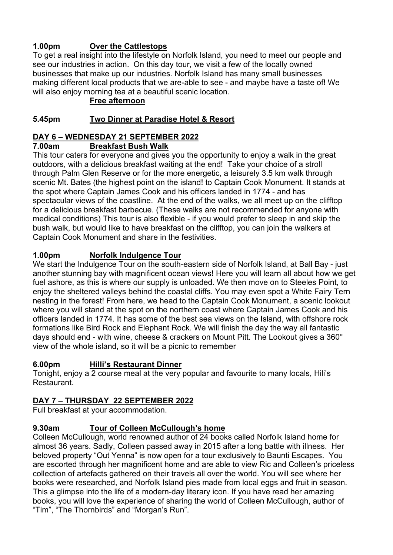### **1.00pm Over the Cattlestops**

To get a real insight into the lifestyle on Norfolk Island, you need to meet our people and see our industries in action. On this day tour, we visit a few of the locally owned businesses that make up our industries. Norfolk Island has many small businesses making different local products that we are-able to see - and maybe have a taste of! We will also enjoy morning tea at a beautiful scenic location.

#### **Free afternoon**

#### **5.45pm Two Dinner at Paradise Hotel & Resort**

## **DAY 6 – WEDNESDAY 21 SEPTEMBER 2022**

#### **7.00am Breakfast Bush Walk**

This tour caters for everyone and gives you the opportunity to enjoy a walk in the great outdoors, with a delicious breakfast waiting at the end! Take your choice of a stroll through Palm Glen Reserve or for the more energetic, a leisurely 3.5 km walk through scenic Mt. Bates (the highest point on the island! to Captain Cook Monument. It stands at the spot where Captain James Cook and his officers landed in 1774 - and has spectacular views of the coastline. At the end of the walks, we all meet up on the clifftop for a delicious breakfast barbecue. (These walks are not recommended for anyone with medical conditions) This tour is also flexible - if you would prefer to sleep in and skip the bush walk, but would like to have breakfast on the clifftop, you can join the walkers at Captain Cook Monument and share in the festivities.

#### **1.00pm Norfolk Indulgence Tour**

We start the Indulgence Tour on the south-eastern side of Norfolk Island, at Ball Bay - just another stunning bay with magnificent ocean views! Here you will learn all about how we get fuel ashore, as this is where our supply is unloaded. We then move on to Steeles Point, to enjoy the sheltered valleys behind the coastal cliffs. You may even spot a White Fairy Tern nesting in the forest! From here, we head to the Captain Cook Monument, a scenic lookout where you will stand at the spot on the northern coast where Captain James Cook and his officers landed in 1774. It has some of the best sea views on the Island, with offshore rock formations like Bird Rock and Elephant Rock. We will finish the day the way all fantastic days should end - with wine, cheese & crackers on Mount Pitt. The Lookout gives a 360° view of the whole island, so it will be a picnic to remember

#### **6.00pm Hilli's Restaurant Dinner**

Tonight, enjoy a 2 course meal at the very popular and favourite to many locals, Hili's Restaurant.

#### **DAY 7 – THURSDAY 22 SEPTEMBER 2022**

Full breakfast at your accommodation.

#### **9.30am Tour of Colleen McCullough's home**

Colleen McCullough, world renowned author of 24 books called Norfolk Island home for almost 36 years. Sadly, Colleen passed away in 2015 after a long battle with illness. Her beloved property "Out Yenna" is now open for a tour exclusively to Baunti Escapes. You are escorted through her magnificent home and are able to view Ric and Colleen's priceless collection of artefacts gathered on their travels all over the world. You will see where her books were researched, and Norfolk Island pies made from local eggs and fruit in season. This a glimpse into the life of a modern-day literary icon. If you have read her amazing books, you will love the experience of sharing the world of Colleen McCullough, author of "Tim", "The Thornbirds" and "Morgan's Run".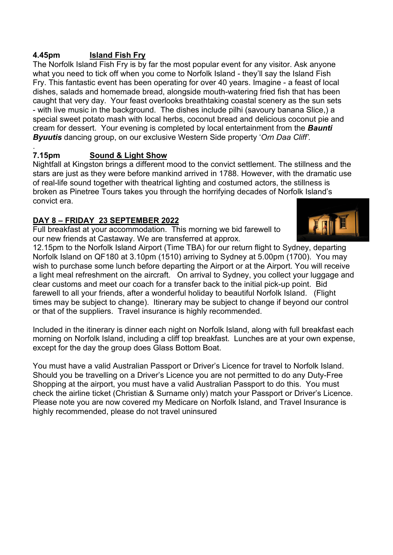#### **4.45pm Island Fish Fry**

The Norfolk Island Fish Fry is by far the most popular event for any visitor. Ask anyone what you need to tick off when you come to Norfolk Island - they'll say the Island Fish Fry. This fantastic event has been operating for over 40 years. Imagine - a feast of local dishes, salads and homemade bread, alongside mouth-watering fried fish that has been caught that very day. Your feast overlooks breathtaking coastal scenery as the sun sets - with live music in the background. The dishes include pilhi (savoury banana Slice,) a special sweet potato mash with local herbs, coconut bread and delicious coconut pie and cream for dessert. Your evening is completed by local entertainment from the *Baunti Byuutis* dancing group, on our exclusive Western Side property '*Orn Daa Cliff'.* 

#### . **7.15pm Sound & Light Show**

Nightfall at Kingston brings a different mood to the convict settlement. The stillness and the stars are just as they were before mankind arrived in 1788. However, with the dramatic use of real-life sound together with theatrical lighting and costumed actors, the stillness is broken as Pinetree Tours takes you through the horrifying decades of Norfolk Island's convict era.

#### **DAY 8 – FRIDAY 23 SEPTEMBER 2022**

Full breakfast at your accommodation. This morning we bid farewell to our new friends at Castaway. We are transferred at approx.



12.15pm to the Norfolk Island Airport (Time TBA) for our return flight to Sydney, departing Norfolk Island on QF180 at 3.10pm (1510) arriving to Sydney at 5.00pm (1700). You may wish to purchase some lunch before departing the Airport or at the Airport. You will receive a light meal refreshment on the aircraft. On arrival to Sydney, you collect your luggage and clear customs and meet our coach for a transfer back to the initial pick-up point. Bid farewell to all your friends, after a wonderful holiday to beautiful Norfolk Island. (Flight times may be subject to change). Itinerary may be subject to change if beyond our control or that of the suppliers. Travel insurance is highly recommended.

Included in the itinerary is dinner each night on Norfolk Island, along with full breakfast each morning on Norfolk Island, including a cliff top breakfast. Lunches are at your own expense, except for the day the group does Glass Bottom Boat.

You must have a valid Australian Passport or Driver's Licence for travel to Norfolk Island. Should you be travelling on a Driver's Licence you are not permitted to do any Duty-Free Shopping at the airport, you must have a valid Australian Passport to do this. You must check the airline ticket (Christian & Surname only) match your Passport or Driver's Licence. Please note you are now covered my Medicare on Norfolk Island, and Travel Insurance is highly recommended, please do not travel uninsured